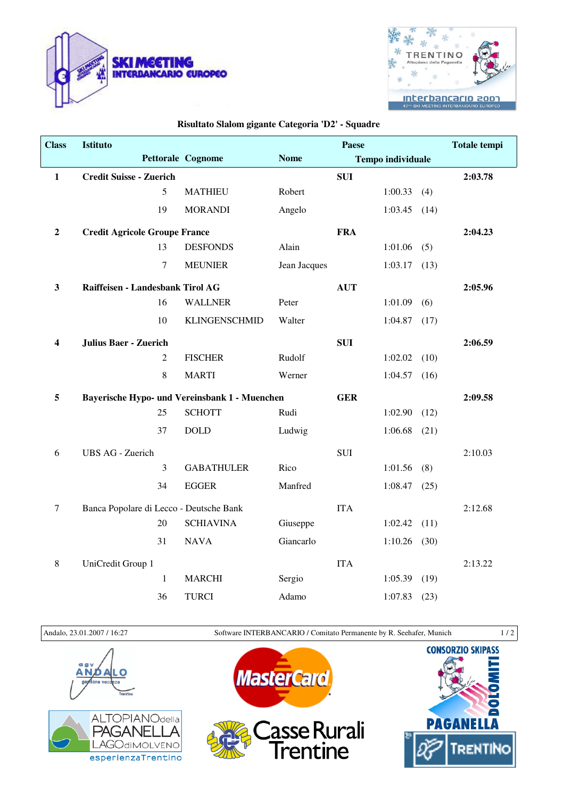



## **Risultato Slalom gigante Categoria 'D2' - Squadre**

| <b>Class</b>     | Istituto                                      |                      | Paese        |            |                          |         | <b>Totale tempi</b> |
|------------------|-----------------------------------------------|----------------------|--------------|------------|--------------------------|---------|---------------------|
|                  |                                               | Pettorale Cognome    | <b>Nome</b>  |            | <b>Tempo individuale</b> |         |                     |
| $\mathbf 1$      | <b>Credit Suisse - Zuerich</b>                |                      |              | <b>SUI</b> |                          |         | 2:03.78             |
|                  | 5                                             | <b>MATHIEU</b>       | Robert       |            | 1:00.33                  | (4)     |                     |
|                  | 19                                            | <b>MORANDI</b>       | Angelo       |            | 1:03.45                  | (14)    |                     |
| $\boldsymbol{2}$ | <b>Credit Agricole Groupe France</b>          |                      |              | <b>FRA</b> |                          |         | 2:04.23             |
|                  | 13                                            | <b>DESFONDS</b>      | Alain        |            | 1:01.06                  | (5)     |                     |
|                  | 7                                             | <b>MEUNIER</b>       | Jean Jacques |            | 1:03.17                  | (13)    |                     |
| $\mathbf{3}$     | Raiffeisen - Landesbank Tirol AG              |                      |              | <b>AUT</b> |                          |         | 2:05.96             |
|                  | 16                                            | <b>WALLNER</b>       | Peter        |            | 1:01.09                  | (6)     |                     |
|                  | 10                                            | <b>KLINGENSCHMID</b> | Walter       |            | 1:04.87                  | (17)    |                     |
| $\boldsymbol{4}$ | <b>Julius Baer - Zuerich</b>                  |                      |              | <b>SUI</b> |                          |         | 2:06.59             |
|                  | $\overline{2}$                                | <b>FISCHER</b>       | Rudolf       |            | 1:02.02                  | (10)    |                     |
|                  | 8                                             | <b>MARTI</b>         | Werner       |            | 1:04.57                  | (16)    |                     |
| 5                | Bayerische Hypo- und Vereinsbank 1 - Muenchen |                      | <b>GER</b>   |            |                          | 2:09.58 |                     |
|                  | 25                                            | <b>SCHOTT</b>        | Rudi         |            | 1:02.90                  | (12)    |                     |
|                  | 37                                            | <b>DOLD</b>          | Ludwig       |            | 1:06.68                  | (21)    |                     |
| 6                | <b>UBS AG - Zuerich</b>                       |                      |              | <b>SUI</b> |                          |         | 2:10.03             |
|                  | 3                                             | <b>GABATHULER</b>    | Rico         |            | 1:01.56                  | (8)     |                     |
|                  | 34                                            | <b>EGGER</b>         | Manfred      |            | 1:08.47                  | (25)    |                     |
| $\tau$           | Banca Popolare di Lecco - Deutsche Bank       |                      |              | <b>ITA</b> |                          |         | 2:12.68             |
|                  | 20                                            | <b>SCHIAVINA</b>     | Giuseppe     |            | 1:02.42                  | (11)    |                     |
|                  | 31                                            | <b>NAVA</b>          | Giancarlo    |            | 1:10.26                  | (30)    |                     |
| $8\phantom{1}$   | UniCredit Group 1                             |                      |              | <b>ITA</b> |                          |         | 2:13.22             |
|                  | $\mathbf{1}$                                  | <b>MARCHI</b>        | Sergio       |            | 1:05.39                  | (19)    |                     |
|                  | 36                                            | <b>TURCI</b>         | Adamo        |            | 1:07.83                  | (23)    |                     |

Andalo, 23.01.2007 / 16:27 Software INTERBANCARIO / Comitato Permanente by R. Seehafer, Munich 1 / 2